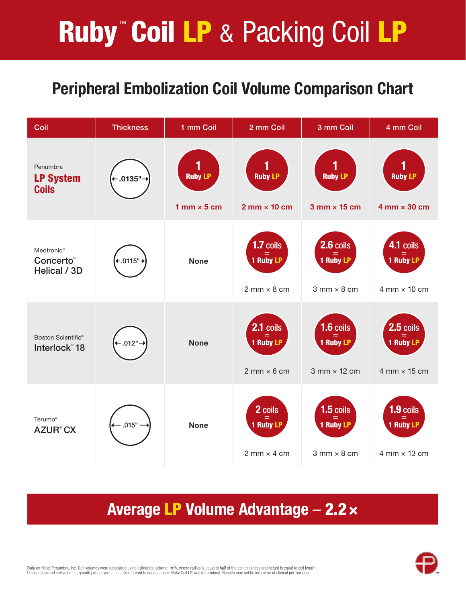# **Ruby<sup>™</sup> Coil LP & Packing Coil LP**

# Peripheral Embolization Coil Volume Comparison Chart

| Coil                                                            | <b>Thickness</b> | 1 mm Coil                              | 2 mm Coil                                             | 3 mm Coil                                              | 4 mm Coil                                              |
|-----------------------------------------------------------------|------------------|----------------------------------------|-------------------------------------------------------|--------------------------------------------------------|--------------------------------------------------------|
| Penumbra<br><b>LP System</b><br><b>Coils</b>                    | .0135"           | <b>Ruby LP</b><br>$1$ mm $\times$ 5 cm | <b>Ruby LP</b><br>$2 \text{ mm} \times 10 \text{ cm}$ | <b>Ruby LP</b><br>$3$ mm $\times$ 15 cm                | <b>Ruby LP</b><br>$4$ mm $\times$ 30 cm                |
| Medtronic <sup>®</sup><br>Concerto <sup>®</sup><br>Helical / 3D | .0115"           | <b>None</b>                            | 1.7 coils<br>1 Ruby LP<br>$2$ mm $\times$ 8 cm        | 2.6 coils<br>1 Ruby LP<br>$3$ mm $\times$ 8 cm         | 4.1 coils<br>1 Ruby LP<br>$4$ mm $\times$ 10 cm        |
| Boston Scientific <sup>®</sup><br>Interlock <sup>"</sup> 18     | $.012 -$         | <b>None</b>                            | $2.1$ coils<br>=<br>1 Ruby LP<br>$2$ mm $\times$ 6 cm | $1.6$ coils<br>٢<br>1 Ruby LP<br>$3$ mm $\times$ 12 cm | 2.5 coils<br>$=$<br>1 Ruby LP<br>$4$ mm $\times$ 15 cm |
| Terumo <sup>®</sup><br><b>AZUR<sup>®</sup>CX</b>                | .015"            | <b>None</b>                            | 2 coils<br><b>1 Ruby LP</b><br>$2$ mm $\times$ 4 cm   | $1.5$ coils<br>1 Ruby LP<br>$3$ mm $\times$ 8 cm       | 1.9 coils<br>1 Ruby LP<br>$4$ mm $\times$ 13 cm        |

## Average LP Volume Advantage – 2.2×



Data on file at Penumbra, Inc. Coil volumes were calculated using cylindrical volume, πr<sup>2</sup>h, where radius is equal to half of the coil thickness and height is equal to coil length. Using calculated coil volumes, quantity of conventional coils required to equal a single Ruby Coil LP was determined. Results may not be indicative of clinical performance.